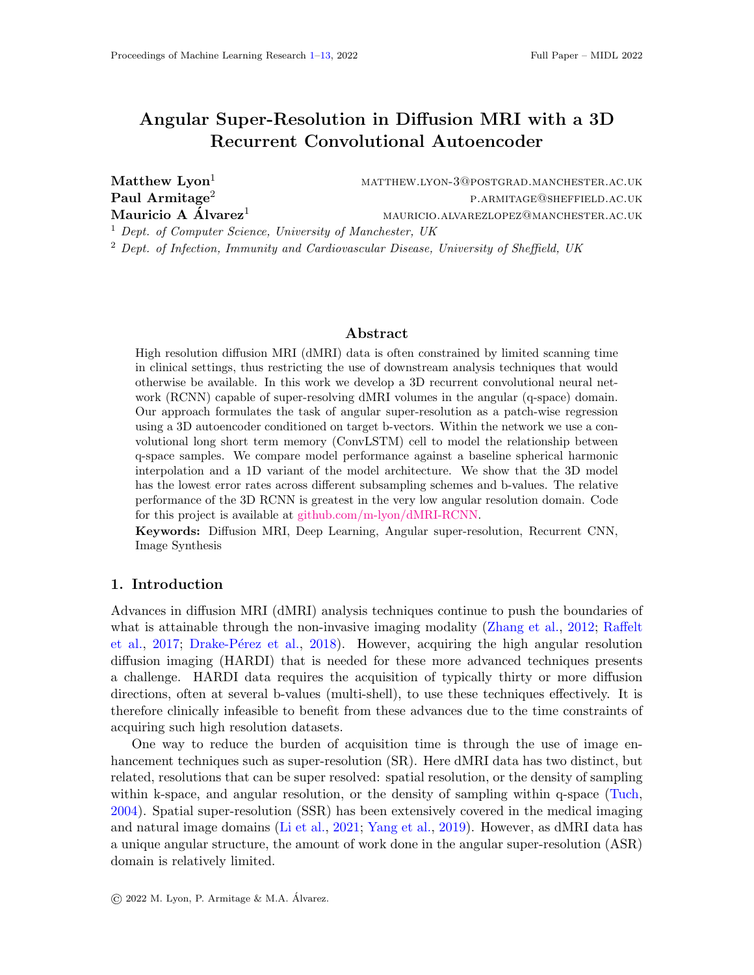# <span id="page-0-0"></span>Angular Super-Resolution in Diffusion MRI with a 3D Recurrent Convolutional Autoencoder

Matthew Lyon<sup>1</sup> MATTHEW.LYON-3@POSTGRAD.MANCHESTER.AC.UK  $\rm Paul~Armitage^2$  p.armitage<sup>2</sup> p.armitage@sheffield.ac.uk Mauricio A Alvarez<sup>1</sup> 1 mauricio.alvarezlopez@manchester.ac.uk <sup>1</sup> Dept. of Computer Science, University of Manchester, UK

<sup>2</sup> Dept. of Infection, Immunity and Cardiovascular Disease, University of Sheffield, UK

### Abstract

High resolution diffusion MRI (dMRI) data is often constrained by limited scanning time in clinical settings, thus restricting the use of downstream analysis techniques that would otherwise be available. In this work we develop a 3D recurrent convolutional neural network (RCNN) capable of super-resolving dMRI volumes in the angular (q-space) domain. Our approach formulates the task of angular super-resolution as a patch-wise regression using a 3D autoencoder conditioned on target b-vectors. Within the network we use a convolutional long short term memory (ConvLSTM) cell to model the relationship between q-space samples. We compare model performance against a baseline spherical harmonic interpolation and a 1D variant of the model architecture. We show that the 3D model has the lowest error rates across different subsampling schemes and b-values. The relative performance of the 3D RCNN is greatest in the very low angular resolution domain. Code for this project is available at [github.com/m-lyon/dMRI-RCNN.](https://github.com/m-lyon/dMRI-RCNN)

Keywords: Diffusion MRI, Deep Learning, Angular super-resolution, Recurrent CNN, Image Synthesis

## 1. Introduction

Advances in diffusion MRI (dMRI) analysis techniques continue to push the boundaries of what is attainable through the non-invasive imaging modality [\(Zhang et al.,](#page-9-0) [2012;](#page-9-0) [Raffelt](#page-9-1) [et al.,](#page-9-1) [2017;](#page-9-1) Drake-Pérez et al., [2018\)](#page-8-0). However, acquiring the high angular resolution diffusion imaging (HARDI) that is needed for these more advanced techniques presents a challenge. HARDI data requires the acquisition of typically thirty or more diffusion directions, often at several b-values (multi-shell), to use these techniques effectively. It is therefore clinically infeasible to benefit from these advances due to the time constraints of acquiring such high resolution datasets.

One way to reduce the burden of acquisition time is through the use of image enhancement techniques such as super-resolution (SR). Here dMRI data has two distinct, but related, resolutions that can be super resolved: spatial resolution, or the density of sampling within k-space, and angular resolution, or the density of sampling within q-space [\(Tuch,](#page-9-2) [2004\)](#page-9-2). Spatial super-resolution (SSR) has been extensively covered in the medical imaging and natural image domains [\(Li et al.,](#page-8-1) [2021;](#page-8-1) [Yang et al.,](#page-9-3) [2019\)](#page-9-3). However, as dMRI data has a unique angular structure, the amount of work done in the angular super-resolution (ASR) domain is relatively limited.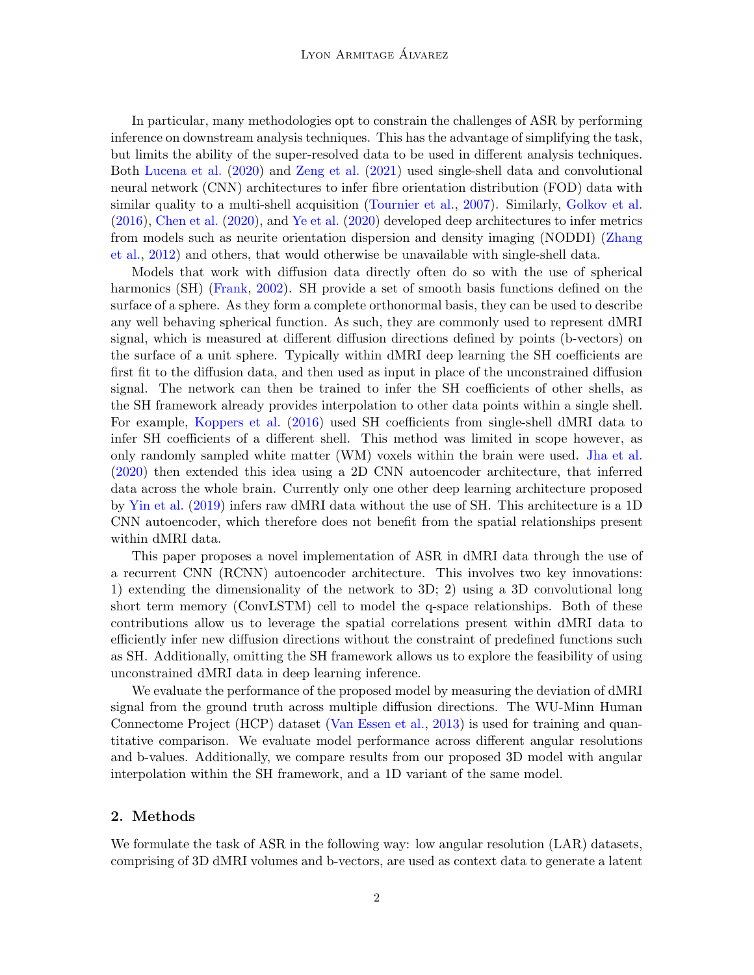In particular, many methodologies opt to constrain the challenges of ASR by performing inference on downstream analysis techniques. This has the advantage of simplifying the task, but limits the ability of the super-resolved data to be used in different analysis techniques. Both [Lucena et al.](#page-8-2) [\(2020\)](#page-8-2) and [Zeng et al.](#page-9-4) [\(2021\)](#page-9-4) used single-shell data and convolutional neural network (CNN) architectures to infer fibre orientation distribution (FOD) data with similar quality to a multi-shell acquisition [\(Tournier et al.,](#page-9-5) [2007\)](#page-9-5). Similarly, [Golkov et al.](#page-8-3) [\(2016\)](#page-8-3), [Chen et al.](#page-7-0) [\(2020\)](#page-7-0), and [Ye et al.](#page-9-6) [\(2020\)](#page-9-6) developed deep architectures to infer metrics from models such as neurite orientation dispersion and density imaging (NODDI) [\(Zhang](#page-9-0) [et al.,](#page-9-0) [2012\)](#page-9-0) and others, that would otherwise be unavailable with single-shell data.

Models that work with diffusion data directly often do so with the use of spherical harmonics (SH) [\(Frank,](#page-8-4) [2002\)](#page-8-4). SH provide a set of smooth basis functions defined on the surface of a sphere. As they form a complete orthonormal basis, they can be used to describe any well behaving spherical function. As such, they are commonly used to represent dMRI signal, which is measured at different diffusion directions defined by points (b-vectors) on the surface of a unit sphere. Typically within dMRI deep learning the SH coefficients are first fit to the diffusion data, and then used as input in place of the unconstrained diffusion signal. The network can then be trained to infer the SH coefficients of other shells, as the SH framework already provides interpolation to other data points within a single shell. For example, [Koppers et al.](#page-8-5) [\(2016\)](#page-8-5) used SH coefficients from single-shell dMRI data to infer SH coefficients of a different shell. This method was limited in scope however, as only randomly sampled white matter (WM) voxels within the brain were used. [Jha et al.](#page-8-6) [\(2020\)](#page-8-6) then extended this idea using a 2D CNN autoencoder architecture, that inferred data across the whole brain. Currently only one other deep learning architecture proposed by [Yin et al.](#page-9-7) [\(2019\)](#page-9-7) infers raw dMRI data without the use of SH. This architecture is a 1D CNN autoencoder, which therefore does not benefit from the spatial relationships present within dMRI data.

This paper proposes a novel implementation of ASR in dMRI data through the use of a recurrent CNN (RCNN) autoencoder architecture. This involves two key innovations: 1) extending the dimensionality of the network to 3D; 2) using a 3D convolutional long short term memory (ConvLSTM) cell to model the q-space relationships. Both of these contributions allow us to leverage the spatial correlations present within dMRI data to efficiently infer new diffusion directions without the constraint of predefined functions such as SH. Additionally, omitting the SH framework allows us to explore the feasibility of using unconstrained dMRI data in deep learning inference.

We evaluate the performance of the proposed model by measuring the deviation of dMRI signal from the ground truth across multiple diffusion directions. The WU-Minn Human Connectome Project (HCP) dataset [\(Van Essen et al.,](#page-9-8) [2013\)](#page-9-8) is used for training and quantitative comparison. We evaluate model performance across different angular resolutions and b-values. Additionally, we compare results from our proposed 3D model with angular interpolation within the SH framework, and a 1D variant of the same model.

# 2. Methods

We formulate the task of ASR in the following way: low angular resolution (LAR) datasets, comprising of 3D dMRI volumes and b-vectors, are used as context data to generate a latent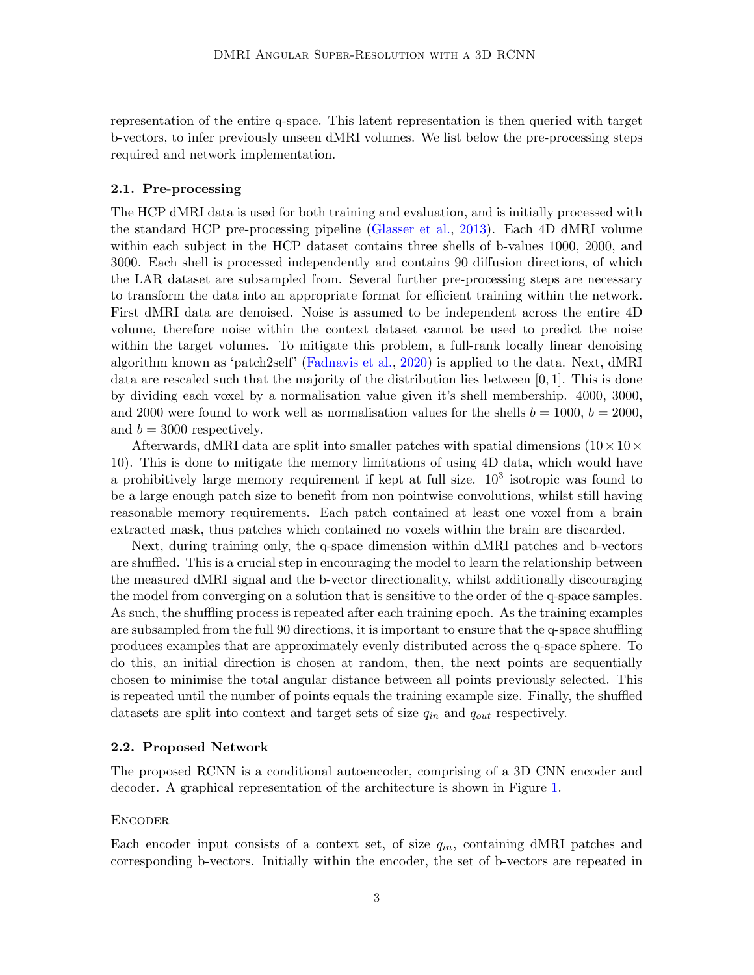representation of the entire q-space. This latent representation is then queried with target b-vectors, to infer previously unseen dMRI volumes. We list below the pre-processing steps required and network implementation.

#### 2.1. Pre-processing

The HCP dMRI data is used for both training and evaluation, and is initially processed with the standard HCP pre-processing pipeline [\(Glasser et al.,](#page-8-7) [2013\)](#page-8-7). Each 4D dMRI volume within each subject in the HCP dataset contains three shells of b-values 1000, 2000, and 3000. Each shell is processed independently and contains 90 diffusion directions, of which the LAR dataset are subsampled from. Several further pre-processing steps are necessary to transform the data into an appropriate format for efficient training within the network. First dMRI data are denoised. Noise is assumed to be independent across the entire 4D volume, therefore noise within the context dataset cannot be used to predict the noise within the target volumes. To mitigate this problem, a full-rank locally linear denoising algorithm known as 'patch2self' [\(Fadnavis et al.,](#page-8-8) [2020\)](#page-8-8) is applied to the data. Next, dMRI data are rescaled such that the majority of the distribution lies between  $[0, 1]$ . This is done by dividing each voxel by a normalisation value given it's shell membership. 4000, 3000, and 2000 were found to work well as normalisation values for the shells  $b = 1000, b = 2000$ , and  $b = 3000$  respectively.

Afterwards, dMRI data are split into smaller patches with spatial dimensions  $(10 \times 10 \times$ 10). This is done to mitigate the memory limitations of using 4D data, which would have a prohibitively large memory requirement if kept at full size.  $10^3$  isotropic was found to be a large enough patch size to benefit from non pointwise convolutions, whilst still having reasonable memory requirements. Each patch contained at least one voxel from a brain extracted mask, thus patches which contained no voxels within the brain are discarded.

Next, during training only, the q-space dimension within dMRI patches and b-vectors are shuffled. This is a crucial step in encouraging the model to learn the relationship between the measured dMRI signal and the b-vector directionality, whilst additionally discouraging the model from converging on a solution that is sensitive to the order of the q-space samples. As such, the shuffling process is repeated after each training epoch. As the training examples are subsampled from the full 90 directions, it is important to ensure that the q-space shuffling produces examples that are approximately evenly distributed across the q-space sphere. To do this, an initial direction is chosen at random, then, the next points are sequentially chosen to minimise the total angular distance between all points previously selected. This is repeated until the number of points equals the training example size. Finally, the shuffled datasets are split into context and target sets of size  $q_{in}$  and  $q_{out}$  respectively.

#### 2.2. Proposed Network

The proposed RCNN is a conditional autoencoder, comprising of a 3D CNN encoder and decoder. A graphical representation of the architecture is shown in Figure [1.](#page-3-0)

#### **ENCODER**

Each encoder input consists of a context set, of size  $q_{in}$ , containing dMRI patches and corresponding b-vectors. Initially within the encoder, the set of b-vectors are repeated in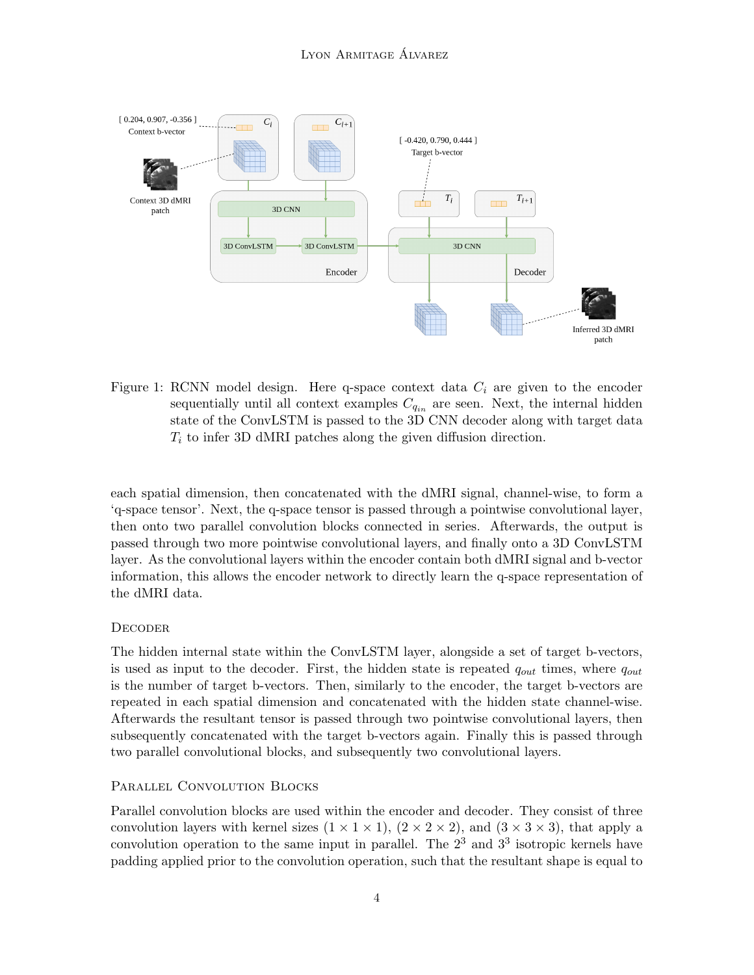

<span id="page-3-0"></span>Figure 1: RCNN model design. Here q-space context data  $C_i$  are given to the encoder sequentially until all context examples  $C_{q_{in}}$  are seen. Next, the internal hidden state of the ConvLSTM is passed to the 3D CNN decoder along with target data  $T<sub>i</sub>$  to infer 3D dMRI patches along the given diffusion direction.

each spatial dimension, then concatenated with the dMRI signal, channel-wise, to form a 'q-space tensor'. Next, the q-space tensor is passed through a pointwise convolutional layer, then onto two parallel convolution blocks connected in series. Afterwards, the output is passed through two more pointwise convolutional layers, and finally onto a 3D ConvLSTM layer. As the convolutional layers within the encoder contain both dMRI signal and b-vector information, this allows the encoder network to directly learn the q-space representation of the dMRI data.

# **DECODER**

The hidden internal state within the ConvLSTM layer, alongside a set of target b-vectors, is used as input to the decoder. First, the hidden state is repeated  $q_{out}$  times, where  $q_{out}$ is the number of target b-vectors. Then, similarly to the encoder, the target b-vectors are repeated in each spatial dimension and concatenated with the hidden state channel-wise. Afterwards the resultant tensor is passed through two pointwise convolutional layers, then subsequently concatenated with the target b-vectors again. Finally this is passed through two parallel convolutional blocks, and subsequently two convolutional layers.

# PARALLEL CONVOLUTION BLOCKS

Parallel convolution blocks are used within the encoder and decoder. They consist of three convolution layers with kernel sizes  $(1 \times 1 \times 1)$ ,  $(2 \times 2 \times 2)$ , and  $(3 \times 3 \times 3)$ , that apply a convolution operation to the same input in parallel. The  $2<sup>3</sup>$  and  $3<sup>3</sup>$  isotropic kernels have padding applied prior to the convolution operation, such that the resultant shape is equal to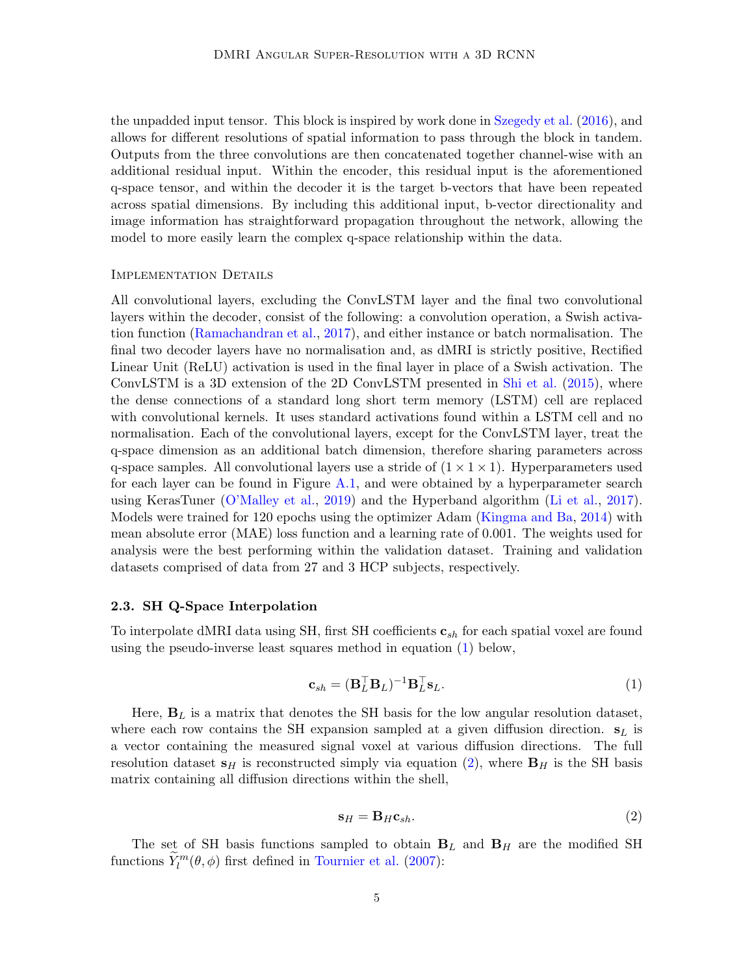the unpadded input tensor. This block is inspired by work done in [Szegedy et al.](#page-9-9) [\(2016\)](#page-9-9), and allows for different resolutions of spatial information to pass through the block in tandem. Outputs from the three convolutions are then concatenated together channel-wise with an additional residual input. Within the encoder, this residual input is the aforementioned q-space tensor, and within the decoder it is the target b-vectors that have been repeated across spatial dimensions. By including this additional input, b-vector directionality and image information has straightforward propagation throughout the network, allowing the model to more easily learn the complex q-space relationship within the data.

#### Implementation Details

All convolutional layers, excluding the ConvLSTM layer and the final two convolutional layers within the decoder, consist of the following: a convolution operation, a Swish activation function [\(Ramachandran et al.,](#page-9-10) [2017\)](#page-9-10), and either instance or batch normalisation. The final two decoder layers have no normalisation and, as dMRI is strictly positive, Rectified Linear Unit (ReLU) activation is used in the final layer in place of a Swish activation. The ConvLSTM is a 3D extension of the 2D ConvLSTM presented in [Shi et al.](#page-9-11) [\(2015\)](#page-9-11), where the dense connections of a standard long short term memory (LSTM) cell are replaced with convolutional kernels. It uses standard activations found within a LSTM cell and no normalisation. Each of the convolutional layers, except for the ConvLSTM layer, treat the q-space dimension as an additional batch dimension, therefore sharing parameters across q-space samples. All convolutional layers use a stride of  $(1 \times 1 \times 1)$ . Hyperparameters used for each layer can be found in Figure [A.1,](#page-10-0) and were obtained by a hyperparameter search using KerasTuner [\(O'Malley et al.,](#page-8-9) [2019\)](#page-8-9) and the Hyperband algorithm [\(Li et al.,](#page-8-10) [2017\)](#page-8-10). Models were trained for 120 epochs using the optimizer Adam [\(Kingma and Ba,](#page-8-11) [2014\)](#page-8-11) with mean absolute error (MAE) loss function and a learning rate of 0.001. The weights used for analysis were the best performing within the validation dataset. Training and validation datasets comprised of data from 27 and 3 HCP subjects, respectively.

#### 2.3. SH Q-Space Interpolation

To interpolate dMRI data using SH, first SH coefficients  $\mathbf{c}_{sh}$  for each spatial voxel are found using the pseudo-inverse least squares method in equation [\(1\)](#page-4-0) below,

<span id="page-4-0"></span>
$$
\mathbf{c}_{sh} = (\mathbf{B}_{L}^{\top} \mathbf{B}_{L})^{-1} \mathbf{B}_{L}^{\top} \mathbf{s}_{L}.
$$
 (1)

Here,  $\mathbf{B}_L$  is a matrix that denotes the SH basis for the low angular resolution dataset, where each row contains the SH expansion sampled at a given diffusion direction.  $s_L$  is a vector containing the measured signal voxel at various diffusion directions. The full resolution dataset  $s_H$  is reconstructed simply via equation [\(2\)](#page-4-1), where  $B_H$  is the SH basis matrix containing all diffusion directions within the shell,

<span id="page-4-1"></span>
$$
\mathbf{s}_H = \mathbf{B}_H \mathbf{c}_{sh}. \tag{2}
$$

The set of SH basis functions sampled to obtain  $B_L$  and  $B_H$  are the modified SH functions  $\tilde{Y}_l^m(\theta, \phi)$  first defined in [Tournier et al.](#page-9-5) [\(2007\)](#page-9-5):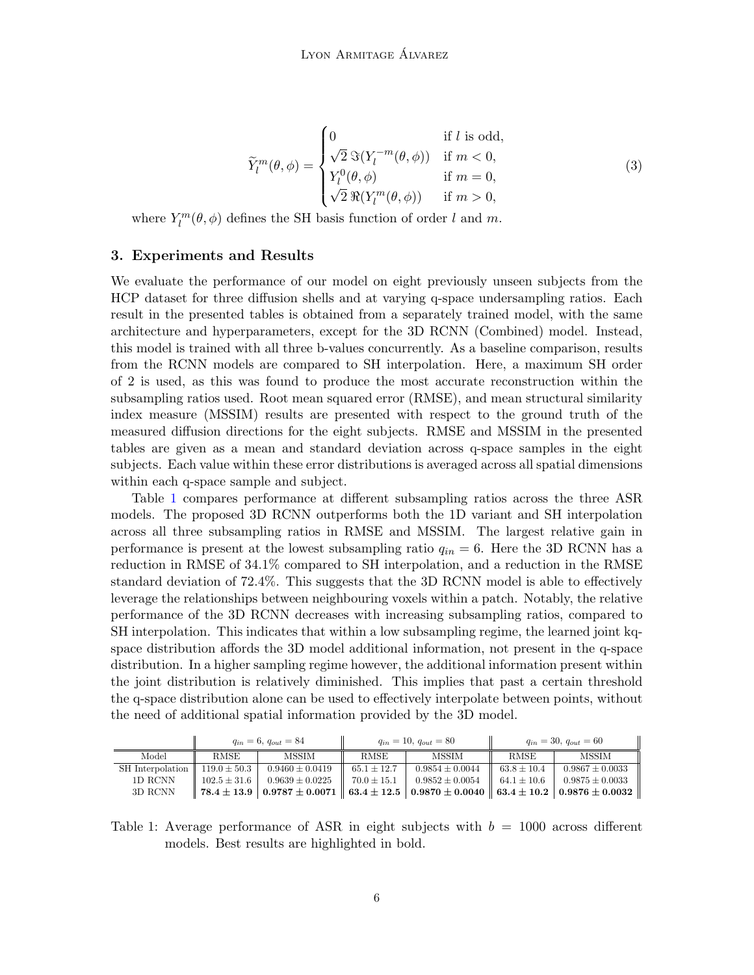$$
\widetilde{Y}_l^m(\theta,\phi) = \begin{cases}\n0 & \text{if } l \text{ is odd,} \\
\sqrt{2} \Im(Y_l^{-m}(\theta,\phi)) & \text{if } m < 0, \\
Y_l^0(\theta,\phi) & \text{if } m = 0, \\
\sqrt{2} \Re(Y_l^m(\theta,\phi)) & \text{if } m > 0,\n\end{cases}
$$
\n(3)

where  $Y_l^m(\theta, \phi)$  defines the SH basis function of order l and m.

## 3. Experiments and Results

We evaluate the performance of our model on eight previously unseen subjects from the HCP dataset for three diffusion shells and at varying q-space undersampling ratios. Each result in the presented tables is obtained from a separately trained model, with the same architecture and hyperparameters, except for the 3D RCNN (Combined) model. Instead, this model is trained with all three b-values concurrently. As a baseline comparison, results from the RCNN models are compared to SH interpolation. Here, a maximum SH order of 2 is used, as this was found to produce the most accurate reconstruction within the subsampling ratios used. Root mean squared error (RMSE), and mean structural similarity index measure (MSSIM) results are presented with respect to the ground truth of the measured diffusion directions for the eight subjects. RMSE and MSSIM in the presented tables are given as a mean and standard deviation across q-space samples in the eight subjects. Each value within these error distributions is averaged across all spatial dimensions within each q-space sample and subject.

Table [1](#page-5-0) compares performance at different subsampling ratios across the three ASR models. The proposed 3D RCNN outperforms both the 1D variant and SH interpolation across all three subsampling ratios in RMSE and MSSIM. The largest relative gain in performance is present at the lowest subsampling ratio  $q_{in} = 6$ . Here the 3D RCNN has a reduction in RMSE of 34.1% compared to SH interpolation, and a reduction in the RMSE standard deviation of 72.4%. This suggests that the 3D RCNN model is able to effectively leverage the relationships between neighbouring voxels within a patch. Notably, the relative performance of the 3D RCNN decreases with increasing subsampling ratios, compared to SH interpolation. This indicates that within a low subsampling regime, the learned joint kqspace distribution affords the 3D model additional information, not present in the q-space distribution. In a higher sampling regime however, the additional information present within the joint distribution is relatively diminished. This implies that past a certain threshold the q-space distribution alone can be used to effectively interpolate between points, without the need of additional spatial information provided by the 3D model.

|                                     | $q_{in} = 6, q_{out} = 84$ |                     |                 | $q_{in} = 10, q_{out} = 80$ | $q_{in} = 30, q_{out} = 60$ |                                                                                                                                              |
|-------------------------------------|----------------------------|---------------------|-----------------|-----------------------------|-----------------------------|----------------------------------------------------------------------------------------------------------------------------------------------|
| Model                               | <b>RMSE</b>                | <b>MSSIM</b>        | <b>RMSE</b>     | <b>MSSIM</b>                | RMSE                        | <b>MSSIM</b>                                                                                                                                 |
| SH Interpolation   $119.0 \pm 50.3$ |                            | $0.9460 \pm 0.0419$ | $65.1 \pm 12.7$ | $0.9854 \pm 0.0044$         | $63.8 \pm 10.4$             | $0.9867 \pm 0.0033$                                                                                                                          |
| 1D RCNN                             | $102.5 \pm 31.6$           | $0.9639 \pm 0.0225$ | $70.0 \pm 15.1$ | $0.9852 \pm 0.0054$         | $64.1 \pm 10.6$             | $0.9875 + 0.0033$                                                                                                                            |
| 3D RCNN                             |                            |                     |                 |                             |                             | $\parallel 78.4\pm13.9 \mid 0.9787\pm0.0071 \parallel 63.4\pm12.5 \mid 0.9870\pm0.0040 \parallel 63.4\pm10.2 \mid 0.9876\pm0.0032 \parallel$ |

<span id="page-5-0"></span>Table 1: Average performance of ASR in eight subjects with  $b = 1000$  across different models. Best results are highlighted in bold.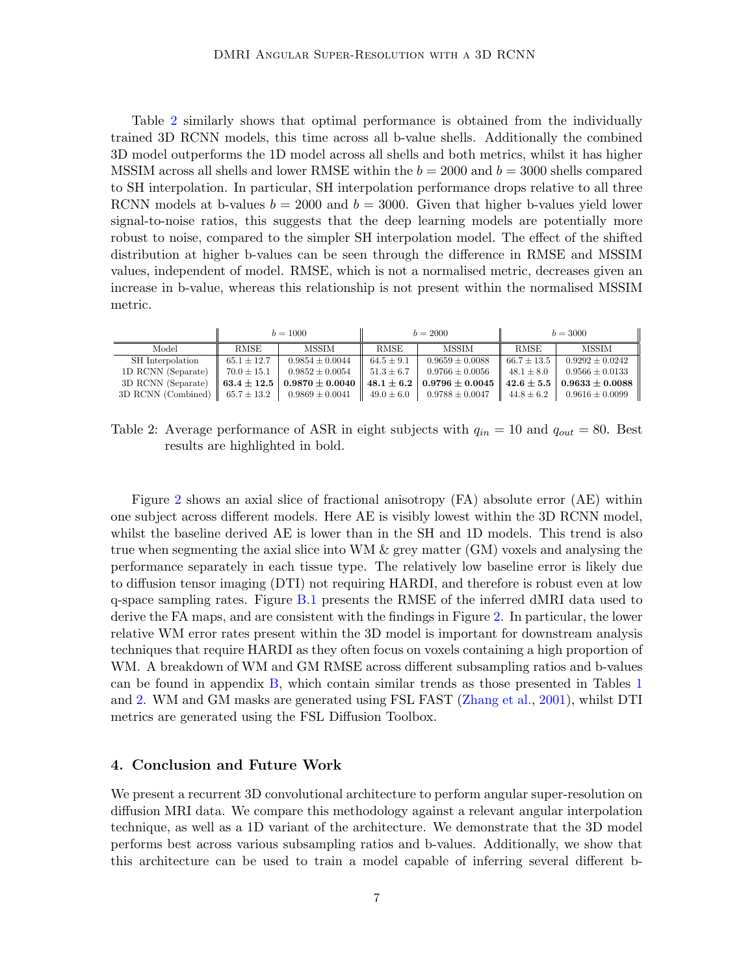Table [2](#page-6-0) similarly shows that optimal performance is obtained from the individually trained 3D RCNN models, this time across all b-value shells. Additionally the combined 3D model outperforms the 1D model across all shells and both metrics, whilst it has higher MSSIM across all shells and lower RMSE within the  $b = 2000$  and  $b = 3000$  shells compared to SH interpolation. In particular, SH interpolation performance drops relative to all three RCNN models at b-values  $b = 2000$  and  $b = 3000$ . Given that higher b-values yield lower signal-to-noise ratios, this suggests that the deep learning models are potentially more robust to noise, compared to the simpler SH interpolation model. The effect of the shifted distribution at higher b-values can be seen through the difference in RMSE and MSSIM values, independent of model. RMSE, which is not a normalised metric, decreases given an increase in b-value, whereas this relationship is not present within the normalised MSSIM metric.

<span id="page-6-0"></span>

|                                | $b = 1000$      |                     |                | $b = 2000$          | $b = 3000$      |                                      |
|--------------------------------|-----------------|---------------------|----------------|---------------------|-----------------|--------------------------------------|
| Model                          | <b>RMSE</b>     | MSSIM               | <b>RMSE</b>    | <b>MSSIM</b>        | <b>RMSE</b>     | <b>MSSIM</b>                         |
| SH Interpolation               | $65.1 \pm 12.7$ | $0.9854 \pm 0.0044$ | $64.5 \pm 9.1$ | $0.9659 \pm 0.0088$ | $66.7 \pm 13.5$ | $0.9292 \pm 0.0242$                  |
| 1D RCNN (Separate)             | $70.0 \pm 15.1$ | $0.9852 \pm 0.0054$ | $51.3 \pm 6.7$ | $0.9766 \pm 0.0056$ | $48.1 \pm 8.0$  | $0.9566 \pm 0.0133$                  |
| 3D RCNN (Separate)             | $63.4 \pm 12.5$ | $0.9870 \pm 0.0040$ | $48.1 \pm 6.2$ | $0.9796 \pm 0.0045$ |                 | $42.6 \pm 5.5 \pm 0.9633 \pm 0.0088$ |
| 3D RCNN (Combined) $\parallel$ | $65.7 \pm 13.2$ | $0.9869 \pm 0.0041$ | $49.0 \pm 6.0$ | $0.9788 \pm 0.0047$ | $44.8 \pm 6.2$  | $0.9616 \pm 0.0099$                  |

Table 2: Average performance of ASR in eight subjects with  $q_{in} = 10$  and  $q_{out} = 80$ . Best results are highlighted in bold.

Figure [2](#page-7-1) shows an axial slice of fractional anisotropy (FA) absolute error (AE) within one subject across different models. Here AE is visibly lowest within the 3D RCNN model, whilst the baseline derived AE is lower than in the SH and 1D models. This trend is also true when segmenting the axial slice into WM  $\&$  grey matter (GM) voxels and analysing the performance separately in each tissue type. The relatively low baseline error is likely due to diffusion tensor imaging (DTI) not requiring HARDI, and therefore is robust even at low q-space sampling rates. Figure [B.1](#page-11-0) presents the RMSE of the inferred dMRI data used to derive the FA maps, and are consistent with the findings in Figure [2.](#page-7-1) In particular, the lower relative WM error rates present within the 3D model is important for downstream analysis techniques that require HARDI as they often focus on voxels containing a high proportion of WM. A breakdown of WM and GM RMSE across different subsampling ratios and b-values can be found in appendix [B,](#page-10-1) which contain similar trends as those presented in Tables [1](#page-5-0) and [2.](#page-6-0) WM and GM masks are generated using FSL FAST [\(Zhang et al.,](#page-9-12) [2001\)](#page-9-12), whilst DTI metrics are generated using the FSL Diffusion Toolbox.

## 4. Conclusion and Future Work

We present a recurrent 3D convolutional architecture to perform angular super-resolution on diffusion MRI data. We compare this methodology against a relevant angular interpolation technique, as well as a 1D variant of the architecture. We demonstrate that the 3D model performs best across various subsampling ratios and b-values. Additionally, we show that this architecture can be used to train a model capable of inferring several different b-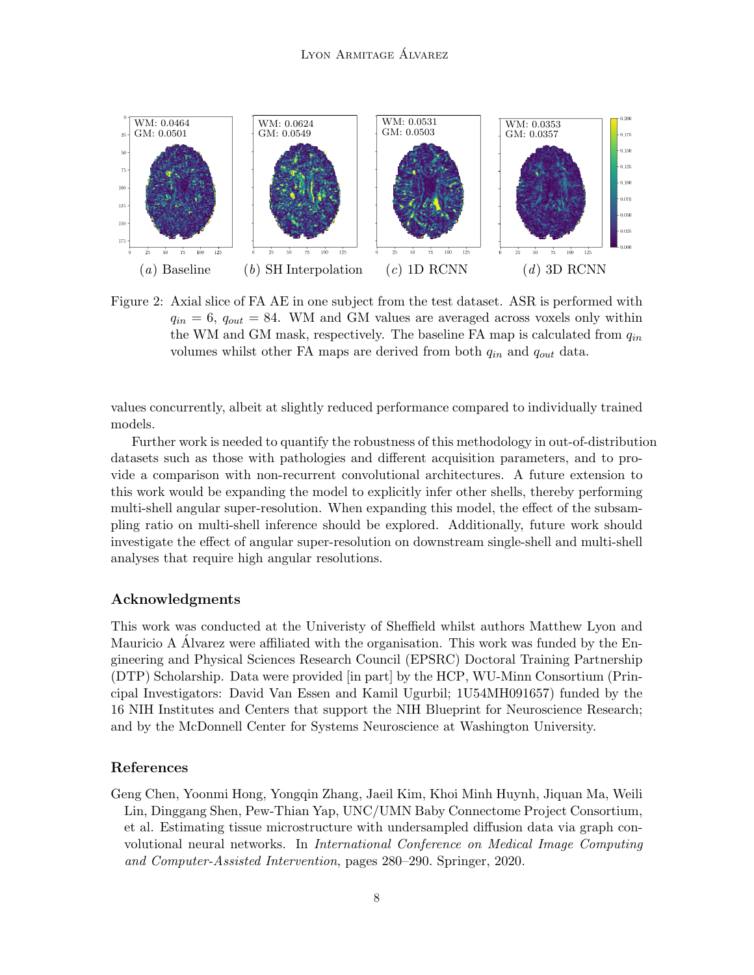

<span id="page-7-1"></span>Figure 2: Axial slice of FA AE in one subject from the test dataset. ASR is performed with  $q_{in} = 6$ ,  $q_{out} = 84$ . WM and GM values are averaged across voxels only within the WM and GM mask, respectively. The baseline FA map is calculated from  $q_{in}$ volumes whilst other FA maps are derived from both  $q_{in}$  and  $q_{out}$  data.

values concurrently, albeit at slightly reduced performance compared to individually trained models.

Further work is needed to quantify the robustness of this methodology in out-of-distribution datasets such as those with pathologies and different acquisition parameters, and to provide a comparison with non-recurrent convolutional architectures. A future extension to this work would be expanding the model to explicitly infer other shells, thereby performing multi-shell angular super-resolution. When expanding this model, the effect of the subsampling ratio on multi-shell inference should be explored. Additionally, future work should investigate the effect of angular super-resolution on downstream single-shell and multi-shell analyses that require high angular resolutions.

# Acknowledgments

This work was conducted at the Univeristy of Sheffield whilst authors Matthew Lyon and Mauricio A Alvarez were affiliated with the organisation. This work was funded by the Engineering and Physical Sciences Research Council (EPSRC) Doctoral Training Partnership (DTP) Scholarship. Data were provided [in part] by the HCP, WU-Minn Consortium (Principal Investigators: David Van Essen and Kamil Ugurbil; 1U54MH091657) funded by the 16 NIH Institutes and Centers that support the NIH Blueprint for Neuroscience Research; and by the McDonnell Center for Systems Neuroscience at Washington University.

## References

<span id="page-7-0"></span>Geng Chen, Yoonmi Hong, Yongqin Zhang, Jaeil Kim, Khoi Minh Huynh, Jiquan Ma, Weili Lin, Dinggang Shen, Pew-Thian Yap, UNC/UMN Baby Connectome Project Consortium, et al. Estimating tissue microstructure with undersampled diffusion data via graph convolutional neural networks. In International Conference on Medical Image Computing and Computer-Assisted Intervention, pages 280–290. Springer, 2020.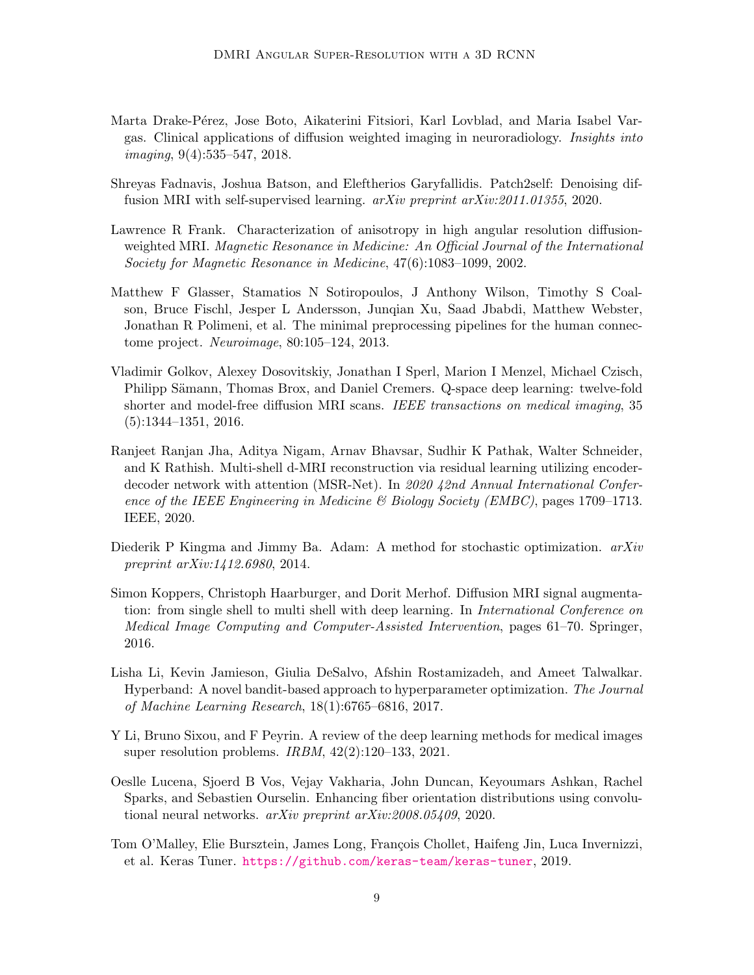- <span id="page-8-0"></span>Marta Drake-Pérez, Jose Boto, Aikaterini Fitsiori, Karl Lovblad, and Maria Isabel Vargas. Clinical applications of diffusion weighted imaging in neuroradiology. Insights into imaging, 9(4):535–547, 2018.
- <span id="page-8-8"></span>Shreyas Fadnavis, Joshua Batson, and Eleftherios Garyfallidis. Patch2self: Denoising diffusion MRI with self-supervised learning. arXiv preprint arXiv:2011.01355, 2020.
- <span id="page-8-4"></span>Lawrence R Frank. Characterization of anisotropy in high angular resolution diffusionweighted MRI. Magnetic Resonance in Medicine: An Official Journal of the International Society for Magnetic Resonance in Medicine, 47(6):1083–1099, 2002.
- <span id="page-8-7"></span>Matthew F Glasser, Stamatios N Sotiropoulos, J Anthony Wilson, Timothy S Coalson, Bruce Fischl, Jesper L Andersson, Junqian Xu, Saad Jbabdi, Matthew Webster, Jonathan R Polimeni, et al. The minimal preprocessing pipelines for the human connectome project. Neuroimage, 80:105–124, 2013.
- <span id="page-8-3"></span>Vladimir Golkov, Alexey Dosovitskiy, Jonathan I Sperl, Marion I Menzel, Michael Czisch, Philipp Sämann, Thomas Brox, and Daniel Cremers. Q-space deep learning: twelve-fold shorter and model-free diffusion MRI scans. IEEE transactions on medical imaging, 35 (5):1344–1351, 2016.
- <span id="page-8-6"></span>Ranjeet Ranjan Jha, Aditya Nigam, Arnav Bhavsar, Sudhir K Pathak, Walter Schneider, and K Rathish. Multi-shell d-MRI reconstruction via residual learning utilizing encoderdecoder network with attention (MSR-Net). In 2020 42nd Annual International Conference of the IEEE Engineering in Medicine  $\mathcal B$  Biology Society (EMBC), pages 1709–1713. IEEE, 2020.
- <span id="page-8-11"></span>Diederik P Kingma and Jimmy Ba. Adam: A method for stochastic optimization.  $arXiv$ preprint arXiv:1412.6980, 2014.
- <span id="page-8-5"></span>Simon Koppers, Christoph Haarburger, and Dorit Merhof. Diffusion MRI signal augmentation: from single shell to multi shell with deep learning. In *International Conference on* Medical Image Computing and Computer-Assisted Intervention, pages 61–70. Springer, 2016.
- <span id="page-8-10"></span>Lisha Li, Kevin Jamieson, Giulia DeSalvo, Afshin Rostamizadeh, and Ameet Talwalkar. Hyperband: A novel bandit-based approach to hyperparameter optimization. The Journal of Machine Learning Research, 18(1):6765–6816, 2017.
- <span id="page-8-1"></span>Y Li, Bruno Sixou, and F Peyrin. A review of the deep learning methods for medical images super resolution problems. IRBM, 42(2):120–133, 2021.
- <span id="page-8-2"></span>Oeslle Lucena, Sjoerd B Vos, Vejay Vakharia, John Duncan, Keyoumars Ashkan, Rachel Sparks, and Sebastien Ourselin. Enhancing fiber orientation distributions using convolutional neural networks. arXiv preprint arXiv:2008.05409, 2020.
- <span id="page-8-9"></span>Tom O'Malley, Elie Bursztein, James Long, François Chollet, Haifeng Jin, Luca Invernizzi, et al. Keras Tuner. <https://github.com/keras-team/keras-tuner>, 2019.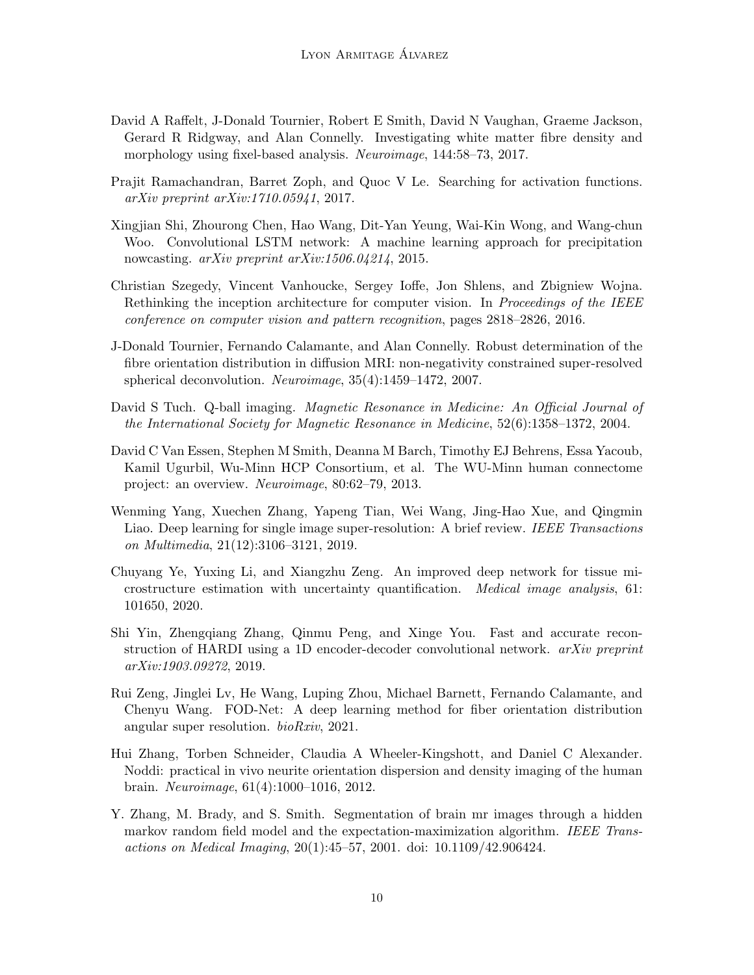- <span id="page-9-1"></span>David A Raffelt, J-Donald Tournier, Robert E Smith, David N Vaughan, Graeme Jackson, Gerard R Ridgway, and Alan Connelly. Investigating white matter fibre density and morphology using fixel-based analysis. Neuroimage, 144:58–73, 2017.
- <span id="page-9-10"></span>Prajit Ramachandran, Barret Zoph, and Quoc V Le. Searching for activation functions. arXiv preprint arXiv:1710.05941, 2017.
- <span id="page-9-11"></span>Xingjian Shi, Zhourong Chen, Hao Wang, Dit-Yan Yeung, Wai-Kin Wong, and Wang-chun Woo. Convolutional LSTM network: A machine learning approach for precipitation nowcasting. *arXiv preprint arXiv:1506.04214*, 2015.
- <span id="page-9-9"></span>Christian Szegedy, Vincent Vanhoucke, Sergey Ioffe, Jon Shlens, and Zbigniew Wojna. Rethinking the inception architecture for computer vision. In *Proceedings of the IEEE* conference on computer vision and pattern recognition, pages 2818–2826, 2016.
- <span id="page-9-5"></span>J-Donald Tournier, Fernando Calamante, and Alan Connelly. Robust determination of the fibre orientation distribution in diffusion MRI: non-negativity constrained super-resolved spherical deconvolution. Neuroimage, 35(4):1459–1472, 2007.
- <span id="page-9-2"></span>David S Tuch. Q-ball imaging. Magnetic Resonance in Medicine: An Official Journal of the International Society for Magnetic Resonance in Medicine, 52(6):1358–1372, 2004.
- <span id="page-9-8"></span>David C Van Essen, Stephen M Smith, Deanna M Barch, Timothy EJ Behrens, Essa Yacoub, Kamil Ugurbil, Wu-Minn HCP Consortium, et al. The WU-Minn human connectome project: an overview. Neuroimage, 80:62–79, 2013.
- <span id="page-9-3"></span>Wenming Yang, Xuechen Zhang, Yapeng Tian, Wei Wang, Jing-Hao Xue, and Qingmin Liao. Deep learning for single image super-resolution: A brief review. IEEE Transactions on Multimedia, 21(12):3106–3121, 2019.
- <span id="page-9-6"></span>Chuyang Ye, Yuxing Li, and Xiangzhu Zeng. An improved deep network for tissue microstructure estimation with uncertainty quantification. Medical image analysis, 61: 101650, 2020.
- <span id="page-9-7"></span>Shi Yin, Zhengqiang Zhang, Qinmu Peng, and Xinge You. Fast and accurate reconstruction of HARDI using a 1D encoder-decoder convolutional network. arXiv preprint arXiv:1903.09272, 2019.
- <span id="page-9-4"></span>Rui Zeng, Jinglei Lv, He Wang, Luping Zhou, Michael Barnett, Fernando Calamante, and Chenyu Wang. FOD-Net: A deep learning method for fiber orientation distribution angular super resolution. bioRxiv, 2021.
- <span id="page-9-0"></span>Hui Zhang, Torben Schneider, Claudia A Wheeler-Kingshott, and Daniel C Alexander. Noddi: practical in vivo neurite orientation dispersion and density imaging of the human brain. Neuroimage, 61(4):1000–1016, 2012.
- <span id="page-9-12"></span>Y. Zhang, M. Brady, and S. Smith. Segmentation of brain mr images through a hidden markov random field model and the expectation-maximization algorithm. IEEE Transactions on Medical Imaging, 20(1):45–57, 2001. doi: 10.1109/42.906424.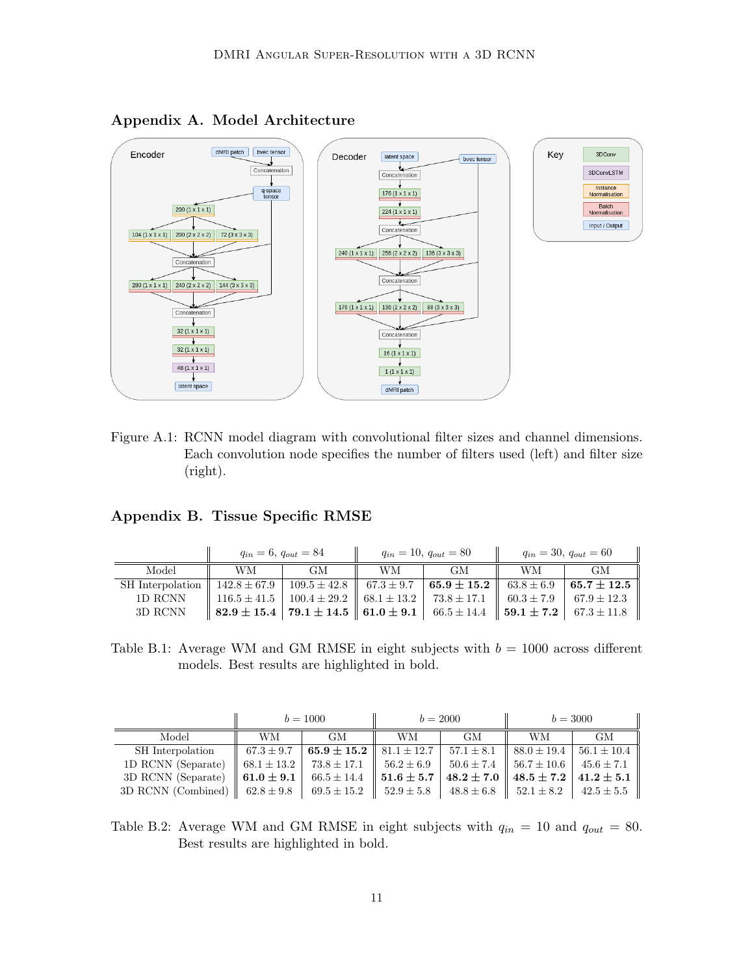

Appendix A. Model Architecture

<span id="page-10-0"></span>Figure A.1: RCNN model diagram with convolutional filter sizes and channel dimensions. Each convolution node specifies the number of filters used (left) and filter size (right).

## <span id="page-10-1"></span>Appendix B. Tissue Specific RMSE

|                                                                                        | $q_{in} = 6, q_{out} = 84$                                                                                   |           |    | $q_{in} = 10, q_{out} = 80$ | $q_{in} = 30, q_{out} = 60$ |                           |
|----------------------------------------------------------------------------------------|--------------------------------------------------------------------------------------------------------------|-----------|----|-----------------------------|-----------------------------|---------------------------|
| Model                                                                                  | <b>WM</b>                                                                                                    | <b>GM</b> | WМ | GM.                         | WМ                          | <b>GM</b>                 |
| SH Interpolation   142.8 ± 67.9   109.5 ± 42.8   67.3 ± 9.7   65.9 ± 15.2   63.8 ± 6.9 |                                                                                                              |           |    |                             |                             | $\mid 65.7 \pm 12.5 \mid$ |
| 1D RCNN                                                                                | 116.5 $\pm$ 41.5   100.4 $\pm$ 29.2    68.1 $\pm$ 13.2   73.8 $\pm$ 17.1    60.3 $\pm$ 7.9   67.9 $\pm$ 12.3 |           |    |                             |                             |                           |
| 3D RCNN                                                                                | $\parallel$ 82.9 ± 15.4   79.1 ± 14.5    61.0 ± 9.1   66.5 ± 14.4    59.1 ± 7.2   67.3 ± 11.8                |           |    |                             |                             |                           |

Table B.1: Average WM and GM RMSE in eight subjects with  $b = 1000$  across different models. Best results are highlighted in bold.

|                                | $b = 1000$      |                 | $b = 2000$     |                | $b = 3000$                       |                                                                                  |
|--------------------------------|-----------------|-----------------|----------------|----------------|----------------------------------|----------------------------------------------------------------------------------|
| Model                          | WМ              | <b>GM</b>       | WМ             | GМ             | WМ                               | GМ                                                                               |
| SH Interpolation               | $67.3 \pm 9.7$  | $65.9 \pm 15.2$ | $+81.1\pm12.7$ | $57.1 \pm 8.1$ | $\parallel$ 88.0 $\pm$ 19.4      | $56.1 \pm 10.4$                                                                  |
| 1D RCNN (Separate)             | $68.1 \pm 13.2$ | $73.8 \pm 17.1$ | $56.2 \pm 6.9$ |                | $50.6 \pm 7.4$   $56.7 \pm 10.6$ | $1\,45.6 \pm 7.1$                                                                |
| 3D RCNN (Separate)             | $61.0 \pm 9.1$  | $66.5 \pm 14.4$ | $51.6 \pm 5.7$ |                |                                  | $48.2 \pm 7.0$ $\parallel$ $48.5 \pm 7.2$ $\parallel$ $41.2 \pm 5.1$ $\parallel$ |
| 3D RCNN (Combined) $\parallel$ | $62.8 \pm 9.8$  | $69.5 \pm 15.2$ | $52.9 \pm 5.8$ | $48.8 \pm 6.8$ | $1.52.1 \pm 8.2$                 | $42.5 \pm 5.5$                                                                   |

Table B.2: Average WM and GM RMSE in eight subjects with  $q_{in} = 10$  and  $q_{out} = 80$ . Best results are highlighted in bold.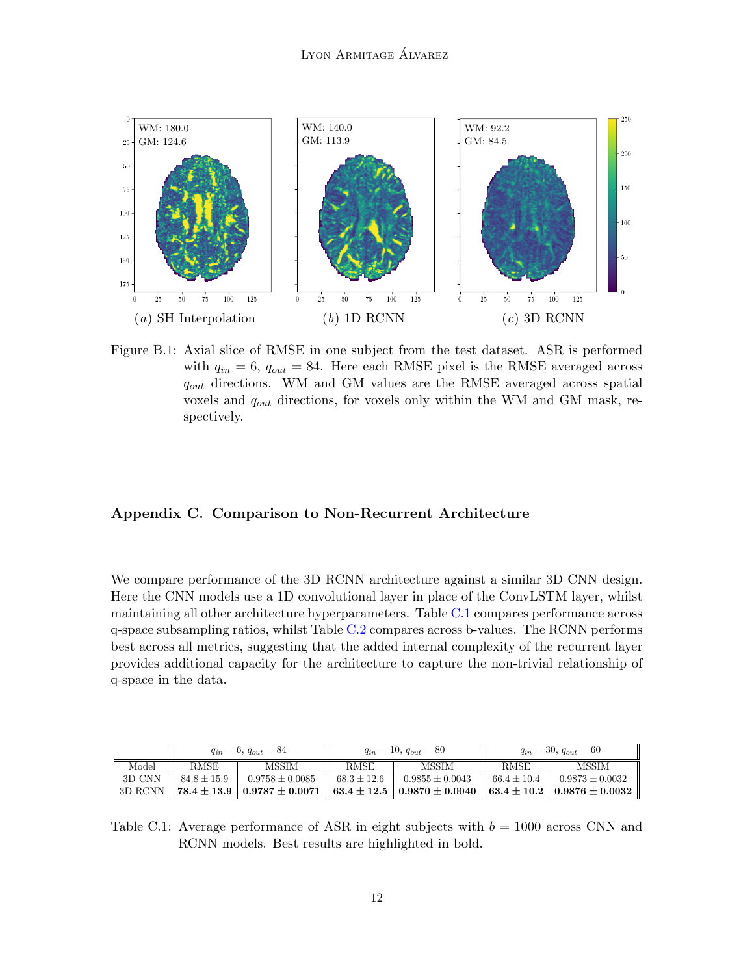

<span id="page-11-0"></span>Figure B.1: Axial slice of RMSE in one subject from the test dataset. ASR is performed with  $q_{in} = 6$ ,  $q_{out} = 84$ . Here each RMSE pixel is the RMSE averaged across  $q_{out}$  directions. WM and GM values are the RMSE averaged across spatial voxels and  $q_{out}$  directions, for voxels only within the WM and GM mask, respectively.

## Appendix C. Comparison to Non-Recurrent Architecture

We compare performance of the 3D RCNN architecture against a similar 3D CNN design. Here the CNN models use a 1D convolutional layer in place of the ConvLSTM layer, whilst maintaining all other architecture hyperparameters. Table [C.1](#page-11-1) compares performance across q-space subsampling ratios, whilst Table [C.2](#page-12-1) compares across b-values. The RCNN performs best across all metrics, suggesting that the added internal complexity of the recurrent layer provides additional capacity for the architecture to capture the non-trivial relationship of q-space in the data.

<span id="page-11-1"></span>

|       | $q_{in} = 6, q_{out} = 84$ |                                                                                                                                                                    | $q_{in} = 10, q_{out} = 80$ |              | $q_{in} = 30, q_{out} = 60$ |       |
|-------|----------------------------|--------------------------------------------------------------------------------------------------------------------------------------------------------------------|-----------------------------|--------------|-----------------------------|-------|
| Model | <b>RMSE</b>                | MSSIM                                                                                                                                                              | RMSE                        | <b>MSSIM</b> | <b>RMSE</b>                 | MSSIM |
|       |                            | 3D CNN $\parallel$ 84.8 ± 15.9 $\parallel$ 0.9758 ± 0.0085 $\parallel$ 68.3 ± 12.6 $\parallel$ 0.9855 ± 0.0043 $\parallel$ 66.4 ± 10.4 $\parallel$ 0.9873 ± 0.0032 |                             |              |                             |       |
|       |                            | 3D RCNN $\parallel$ 78.4 $\pm$ 13.9   0.9787 $\pm$ 0.0071    63.4 $\pm$ 12.5   0.9870 $\pm$ 0.0040    63.4 $\pm$ 10.2   0.9876 $\pm$ 0.0032                        |                             |              |                             |       |

Table C.1: Average performance of ASR in eight subjects with  $b = 1000$  across CNN and RCNN models. Best results are highlighted in bold.